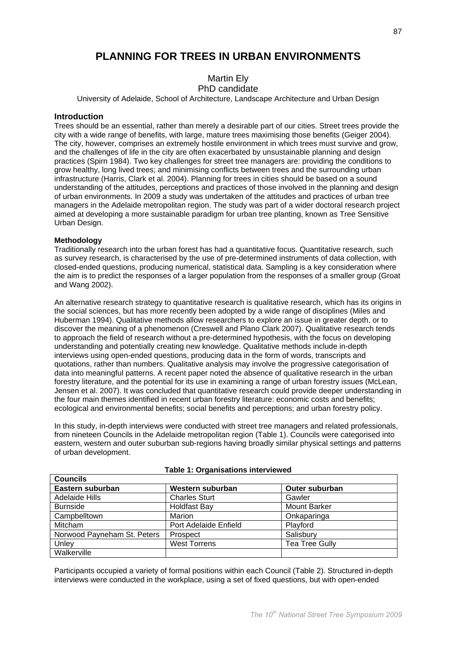# PI ANNING FOR TREES IN URRAN ENVIRONMENTS

# **Martin Ely**

PhD candidate

University of Adelaide, School of Architecture, Landscape Architecture and Urban Design

# Introduction

Trees should be an essential, rather than merely a desirable part of our cities. Street trees provide the city with a wide range of benefits, with large, mature trees maximising those benefits (Geiger 2004). The city, however, comprises an extremely hostile environment in which trees must survive and grow, and the challenges of life in the city are often exacerbated by unsustainable planning and design practices (Spirn 1984). Two key challenges for street tree managers are: providing the conditions to grow healthy, long lived trees; and minimising conflicts between trees and the surrounding urban infrastructure (Harris, Clark et al. 2004). Planning for trees in cities should be based on a sound understanding of the attitudes, perceptions and practices of those involved in the planning and design of urban environments. In 2009 a study was undertaken of the attitudes and practices of urban tree managers in the Adelaide metropolitan region. The study was part of a wider doctoral research project aimed at developing a more sustainable paradigm for urban tree planting, known as Tree Sensitive Urban Design.

## **Methodology**

Traditionally research into the urban forest has had a quantitative focus. Quantitative research, such as survey research, is characterised by the use of pre-determined instruments of data collection, with closed-ended questions, producing numerical, statistical data. Sampling is a key consideration where the aim is to predict the responses of a larger population from the responses of a smaller group (Groat and Wang 2002).

An alternative research strategy to quantitative research is qualitative research, which has its origins in the social sciences, but has more recently been adopted by a wide range of disciplines (Miles and Huberman 1994). Qualitative methods allow researchers to explore an issue in greater depth, or to discover the meaning of a phenomenon (Creswell and Plano Clark 2007). Qualitative research tends to approach the field of research without a pre-determined hypothesis, with the focus on developing understanding and potentially creating new knowledge. Qualitative methods include in-depth interviews using open-ended questions, producing data in the form of words, transcripts and quotations, rather than numbers. Qualitative analysis may involve the progressive categorisation of data into meaningful patterns. A recent paper noted the absence of qualitative research in the urban forestry literature, and the potential for its use in examining a range of urban forestry issues (McLean, Jensen et al. 2007). It was concluded that quantitative research could provide deeper understanding in the four main themes identified in recent urban forestry literature: economic costs and benefits; ecological and environmental benefits: social benefits and perceptions: and urban forestry policy.

In this study, in-depth interviews were conducted with street tree managers and related professionals, from nineteen Councils in the Adelaide metropolitan region (Table 1). Councils were categorised into eastern, western and outer suburban sub-regions having broadly similar physical settings and patterns of urban development.

| <b>Councils</b>             |                       |                       |
|-----------------------------|-----------------------|-----------------------|
| Eastern suburban            | Western suburban      | <b>Outer suburban</b> |
| <b>Adelaide Hills</b>       | <b>Charles Sturt</b>  | Gawler                |
| <b>Burnside</b>             | Holdfast Bay          | <b>Mount Barker</b>   |
| Campbelltown                | Marion                | Onkaparinga           |
| <b>Mitcham</b>              | Port Adelaide Enfield | Playford              |
| Norwood Payneham St. Peters | Prospect              | Salisbury             |
| Unley                       | <b>West Torrens</b>   | <b>Tea Tree Gully</b> |
| Walkerville                 |                       |                       |

Table 1: Organisations interviewed

Participants occupied a variety of formal positions within each Council (Table 2). Structured in-depth interviews were conducted in the workplace, using a set of fixed questions, but with open-ended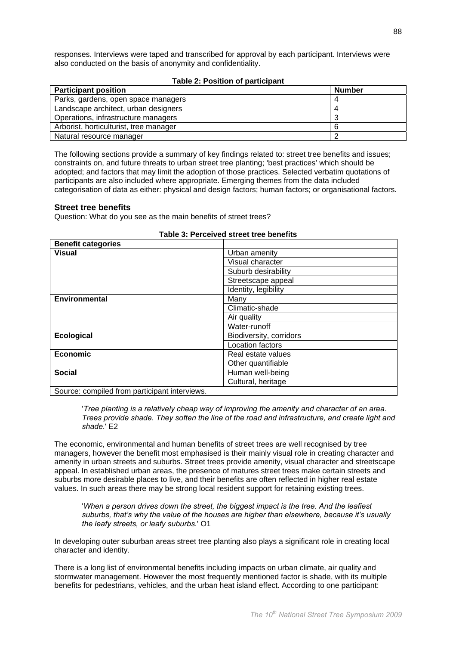responses. Interviews were taped and transcribed for approval by each participant. Interviews were also conducted on the basis of anonymity and confidentiality.

### **Table 2: Position of participant**

| <b>Participant position</b>            | <b>Number</b> |
|----------------------------------------|---------------|
| Parks, gardens, open space managers    |               |
| Landscape architect, urban designers   | 4             |
| Operations, infrastructure managers    |               |
| Arborist, horticulturist, tree manager |               |
| Natural resource manager               |               |

The following sections provide a summary of key findings related to: street tree benefits and issues; constraints on, and future threats to urban street tree planting; 'best practices' which should be adopted; and factors that may limit the adoption of those practices. Selected verbatim quotations of participants are also included where appropriate. Emerging themes from the data included categorisation of data as either: physical and design factors; human factors; or organisational factors.

# **Street tree benefits**

Question: What do you see as the main benefits of street trees?

| Urban amenity           |
|-------------------------|
| Visual character        |
| Suburb desirability     |
| Streetscape appeal      |
| Identity, legibility    |
| Many                    |
| Climatic-shade          |
| Air quality             |
| Water-runoff            |
| Biodiversity, corridors |
| Location factors        |
| Real estate values      |
| Other quantifiable      |
| Human well-being        |
| Cultural, heritage      |
|                         |

#### Table 3: Perceived street tree benefits

Source: compiled from participant interviews.

Tree planting is a relatively cheap way of improving the amenity and character of an area. Trees provide shade. They soften the line of the road and infrastructure, and create light and shade  $' F2$ 

The economic, environmental and human benefits of street trees are well recognised by tree managers, however the benefit most emphasised is their mainly visual role in creating character and amenity in urban streets and suburbs. Street trees provide amenity, visual character and streetscape appeal. In established urban areas, the presence of matures street trees make certain streets and suburbs more desirable places to live, and their benefits are often reflected in higher real estate values. In such areas there may be strong local resident support for retaining existing trees.

'When a person drives down the street, the biggest impact is the tree. And the leafiest suburbs, that's why the value of the houses are higher than elsewhere, because it's usually the leafy streets, or leafy suburbs.' O1

In developing outer suburban areas street tree planting also plays a significant role in creating local character and identity.

There is a long list of environmental benefits including impacts on urban climate, air quality and stormwater management. However the most frequently mentioned factor is shade, with its multiple benefits for pedestrians, vehicles, and the urban heat island effect. According to one participant: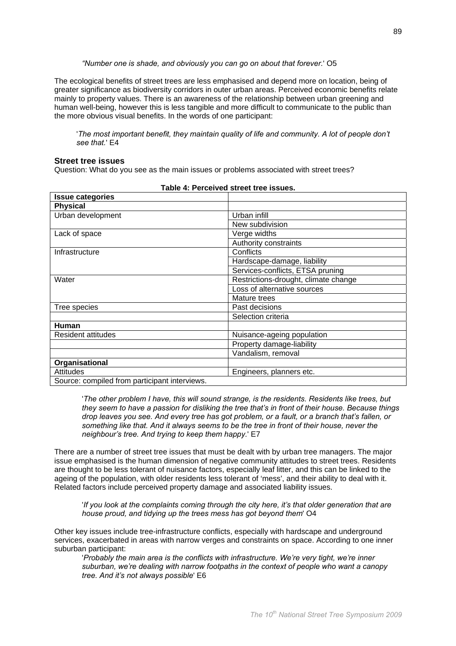"Number one is shade, and obviously you can go on about that forever.' O5

The ecological benefits of street trees are less emphasised and depend more on location, being of greater significance as biodiversity corridors in outer urban areas. Perceived economic benefits relate mainly to property values. There is an awareness of the relationship between urban greening and human well-being, however this is less tangible and more difficult to communicate to the public than the more obvious visual benefits. In the words of one participant:

'The most important benefit, they maintain quality of life and community. A lot of people don't see that.' E4

#### **Street tree issues**

Question: What do you see as the main issues or problems associated with street trees?

| <b>Issue categories</b>                       |                                      |
|-----------------------------------------------|--------------------------------------|
| <b>Physical</b>                               |                                      |
| Urban development                             | Urban infill                         |
|                                               | New subdivision                      |
| Lack of space                                 | Verge widths                         |
|                                               | Authority constraints                |
| Infrastructure                                | Conflicts                            |
|                                               | Hardscape-damage, liability          |
|                                               | Services-conflicts, ETSA pruning     |
| Water                                         | Restrictions-drought, climate change |
|                                               | Loss of alternative sources          |
|                                               | Mature trees                         |
| Tree species                                  | Past decisions                       |
|                                               | Selection criteria                   |
| Human                                         |                                      |
| <b>Resident attitudes</b>                     | Nuisance-ageing population           |
|                                               | Property damage-liability            |
|                                               | Vandalism, removal                   |
| Organisational                                |                                      |
| <b>Attitudes</b>                              | Engineers, planners etc.             |
| Source: compiled from participant interviews. |                                      |

|  | Table 4: Perceived street tree issues. |  |  |  |
|--|----------------------------------------|--|--|--|
|--|----------------------------------------|--|--|--|

'The other problem I have, this will sound strange, is the residents. Residents like trees, but they seem to have a passion for disliking the tree that's in front of their house. Because things drop leaves you see. And every tree has got problem, or a fault, or a branch that's fallen, or something like that. And it always seems to be the tree in front of their house, never the neighbour's tree. And trying to keep them happy.' E7

There are a number of street tree issues that must be dealt with by urban tree managers. The major issue emphasised is the human dimension of negative community attitudes to street trees. Residents are thought to be less tolerant of nuisance factors, especially leaf litter, and this can be linked to the ageing of the population, with older residents less tolerant of 'mess', and their ability to deal with it. Related factors include perceived property damage and associated liability issues.

'If you look at the complaints coming through the city here, it's that older generation that are house proud, and tidying up the trees mess has got beyond them' O4

Other kev issues include tree-infrastructure conflicts, especially with hardscape and underground services, exacerbated in areas with narrow verges and constraints on space. According to one inner suburban participant:

'Probably the main area is the conflicts with infrastructure. We're very tight, we're inner suburban, we're dealing with narrow footpaths in the context of people who want a canopy tree. And it's not always possible' E6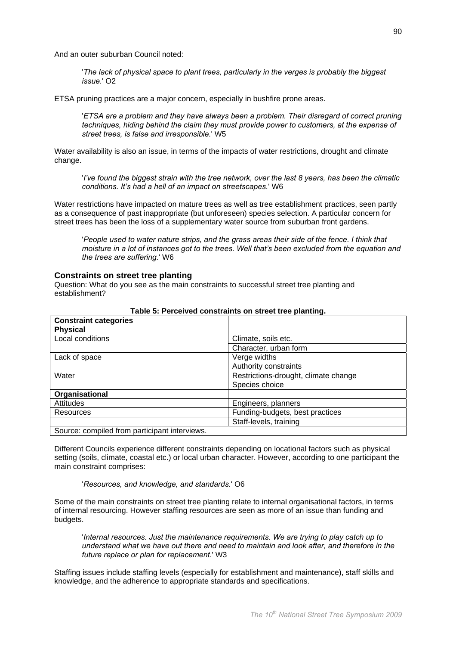And an outer suburban Council noted:

The lack of physical space to plant trees, particularly in the verges is probably the biggest issue.' O<sub>2</sub>

ETSA pruning practices are a major concern, especially in bushfire prone areas.

'ETSA are a problem and they have always been a problem. Their disregard of correct pruning techniques, hiding behind the claim they must provide power to customers, at the expense of street trees, is false and irresponsible.' W5

Water availability is also an issue, in terms of the impacts of water restrictions, drought and climate change.

l've found the biggest strain with the tree network, over the last 8 years, has been the climatic' conditions. It's had a hell of an impact on streetscapes.' W6

Water restrictions have impacted on mature trees as well as tree establishment practices, seen partly as a consequence of past inappropriate (but unforeseen) species selection. A particular concern for street trees has been the loss of a supplementary water source from suburban front gardens.

'People used to water nature strips, and the grass areas their side of the fence. I think that moisture in a lot of instances got to the trees. Well that's been excluded from the equation and the trees are suffering.' W6

#### **Constraints on street tree planting**

Question: What do you see as the main constraints to successful street tree planting and establishment?

| <b>Constraint categories</b>                 |                                      |
|----------------------------------------------|--------------------------------------|
| <b>Physical</b>                              |                                      |
| Local conditions                             | Climate, soils etc.                  |
|                                              | Character, urban form                |
| Lack of space                                | Verge widths                         |
|                                              | Authority constraints                |
| Water                                        | Restrictions-drought, climate change |
|                                              | Species choice                       |
| Organisational                               |                                      |
| Attitudes                                    | Engineers, planners                  |
| <b>Resources</b>                             | Funding-budgets, best practices      |
|                                              | Staff-levels, training               |
| Source: compiled from participant interviews |                                      |

## Table 5: Perceived constraints on street tree planting.

Different Councils experience different constraints depending on locational factors such as physical setting (soils, climate, coastal etc.) or local urban character. However, according to one participant the main constraint comprises:

'Resources, and knowledge, and standards.' O6

Some of the main constraints on street tree planting relate to internal organisational factors, in terms of internal resourcing. However staffing resources are seen as more of an issue than funding and budgets.

Internal resources. Just the maintenance requirements. We are trying to play catch up to understand what we have out there and need to maintain and look after, and therefore in the future replace or plan for replacement.' W3

Staffing issues include staffing levels (especially for establishment and maintenance), staff skills and knowledge, and the adherence to appropriate standards and specifications.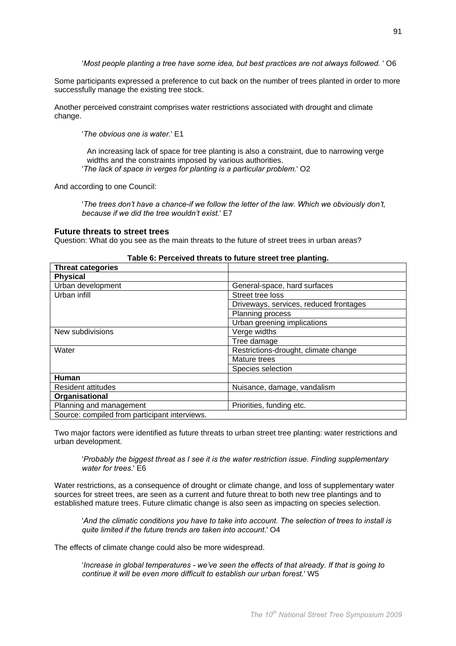'Most people planting a tree have some idea, but best practices are not always followed. ' O6

Some participants expressed a preference to cut back on the number of trees planted in order to more successfully manage the existing tree stock.

Another perceived constraint comprises water restrictions associated with drought and climate change.

'The obvious one is water.' E1

An increasing lack of space for tree planting is also a constraint, due to narrowing verge widths and the constraints imposed by various authorities.

'The lack of space in verges for planting is a particular problem.' O2

And according to one Council:

'The trees don't have a chance-if we follow the letter of the law. Which we obviously don't, because if we did the tree wouldn't exist.' E7

## **Future threats to street trees**

Question: What do you see as the main threats to the future of street trees in urban areas?

| <b>Threat categories</b>                      |                                        |
|-----------------------------------------------|----------------------------------------|
| <b>Physical</b>                               |                                        |
| Urban development                             | General-space, hard surfaces           |
| Urban infill                                  | Street tree loss                       |
|                                               | Driveways, services, reduced frontages |
|                                               | Planning process                       |
|                                               | Urban greening implications            |
| New subdivisions                              | Verge widths                           |
|                                               | Tree damage                            |
| Water                                         | Restrictions-drought, climate change   |
|                                               | Mature trees                           |
|                                               | Species selection                      |
| Human                                         |                                        |
| Resident attitudes                            | Nuisance, damage, vandalism            |
| Organisational                                |                                        |
| Planning and management                       | Priorities, funding etc.               |
| Source: compiled from participant interviews. |                                        |

#### Table 6: Perceived threats to future street tree planting.

Two major factors were identified as future threats to urban street tree planting: water restrictions and urban development.

'Probably the biggest threat as I see it is the water restriction issue. Finding supplementary water for trees 'F6

Water restrictions, as a consequence of drought or climate change, and loss of supplementary water sources for street trees, are seen as a current and future threat to both new tree plantings and to established mature trees. Future climatic change is also seen as impacting on species selection.

And the climatic conditions you have to take into account. The selection of trees to install is quite limited if the future trends are taken into account.' O4

The effects of climate change could also be more widespread.

'Increase in global temperatures - we've seen the effects of that already. If that is going to continue it will be even more difficult to establish our urban forest.' W5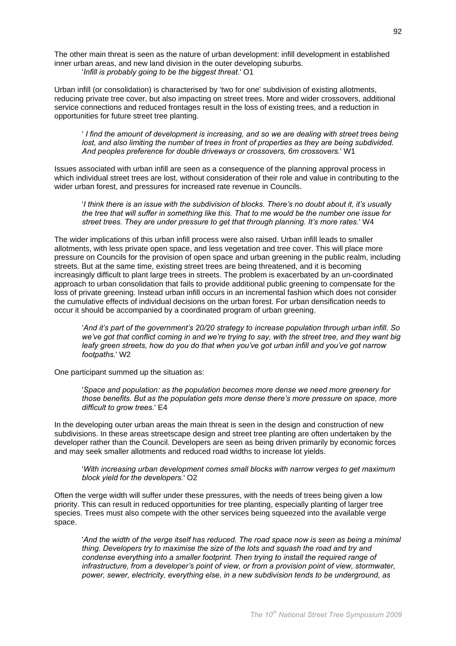The other main threat is seen as the nature of urban development; infill development in established inner urban areas, and new land division in the outer developing suburbs. 'Infill is probably going to be the biggest threat.' O1

Urban infill (or consolidation) is characterised by 'two for one' subdivision of existing allotments, reducing private tree cover, but also impacting on street trees. More and wider crossovers, additional service connections and reduced frontages result in the loss of existing trees, and a reduction in opportunities for future street tree planting.

I find the amount of development is increasing, and so we are dealing with street trees being lost, and also limiting the number of trees in front of properties as they are being subdivided. And peoples preference for double driveways or crossovers, 6m crossovers.' W1

Issues associated with urban infill are seen as a consequence of the planning approval process in which individual street trees are lost, without consideration of their role and value in contributing to the wider urban forest, and pressures for increased rate revenue in Councils.

I think there is an issue with the subdivision of blocks. There's no doubt about it, it's usually the tree that will suffer in something like this. That to me would be the number one issue for street trees. They are under pressure to get that through planning. It's more rates.' W4

The wider implications of this urban infill process were also raised. Urban infill leads to smaller allotments, with less private open space, and less vegetation and tree cover. This will place more pressure on Councils for the provision of open space and urban greening in the public realm, including streets. But at the same time, existing street trees are being threatened, and it is becoming increasingly difficult to plant large trees in streets. The problem is exacerbated by an un-coordinated approach to urban consolidation that fails to provide additional public greening to compensate for the loss of private greening. Instead urban infill occurs in an incremental fashion which does not consider the cumulative effects of individual decisions on the urban forest. For urban densification needs to occur it should be accompanied by a coordinated program of urban greening.

'And it's part of the government's 20/20 strategy to increase population through urban infill. So we've got that conflict coming in and we're trying to say, with the street tree, and they want big leafy green streets, how do you do that when you've got urban infill and you've got narrow footpaths.' W2

One participant summed up the situation as:

'Space and population: as the population becomes more dense we need more greenery for those benefits. But as the population gets more dense there's more pressure on space, more difficult to grow trees.' E4

In the developing outer urban areas the main threat is seen in the design and construction of new subdivisions. In these areas streetscape design and street tree planting are often undertaken by the developer rather than the Council. Developers are seen as being driven primarily by economic forces and may seek smaller allotments and reduced road widths to increase lot vields.

'With increasing urban development comes small blocks with narrow verges to get maximum block vield for the developers.' O2

Often the verge width will suffer under these pressures, with the needs of trees being given a low priority. This can result in reduced opportunities for tree planting, especially planting of larger tree species. Trees must also compete with the other services being squeezed into the available verge space.

'And the width of the verge itself has reduced. The road space now is seen as being a minimal thing. Developers try to maximise the size of the lots and squash the road and try and condense everything into a smaller footprint. Then trying to install the required range of infrastructure, from a developer's point of view, or from a provision point of view, stormwater, power, sewer, electricity, everything else, in a new subdivision tends to be underground, as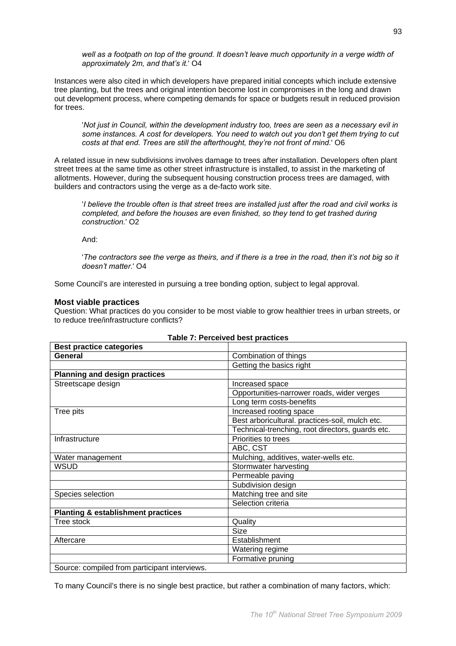well as a footpath on top of the ground. It doesn't leave much opportunity in a verge width of approximately 2m, and that's it. O4

Instances were also cited in which developers have prepared initial concepts which include extensive tree planting, but the trees and original intention become lost in compromises in the long and drawn out development process, where competing demands for space or budgets result in reduced provision for trees.

'Not just in Council, within the development industry too, trees are seen as a necessary evil in some instances. A cost for developers. You need to watch out you don't get them trying to cut costs at that end. Trees are still the afterthought, they're not front of mind.' O6

A related issue in new subdivisions involves damage to trees after installation. Developers often plant street trees at the same time as other street infrastructure is installed, to assist in the marketing of allotments. However, during the subsequent housing construction process trees are damaged, with builders and contractors using the verge as a de-facto work site.

I believe the trouble often is that street trees are installed just after the road and civil works is completed, and before the houses are even finished, so they tend to get trashed during construction.' O<sub>2</sub>

And:

The contractors see the verge as theirs, and if there is a tree in the road, then it's not big so it doesn't matter.' O4

Some Council's are interested in pursuing a tree bonding option, subject to legal approval.

# **Most viable practices**

Question: What practices do you consider to be most viable to grow healthier trees in urban streets, or to reduce tree/infrastructure conflicts?

| <b>Best practice categories</b>               |                                                  |
|-----------------------------------------------|--------------------------------------------------|
| General                                       | Combination of things                            |
|                                               | Getting the basics right                         |
| <b>Planning and design practices</b>          |                                                  |
| Streetscape design                            | Increased space                                  |
|                                               | Opportunities-narrower roads, wider verges       |
|                                               | Long term costs-benefits                         |
| Tree pits                                     | Increased rooting space                          |
|                                               | Best arboricultural. practices-soil, mulch etc.  |
|                                               | Technical-trenching, root directors, guards etc. |
| Infrastructure                                | Priorities to trees                              |
|                                               | ABC, CST                                         |
| Water management                              | Mulching, additives, water-wells etc.            |
| <b>WSUD</b>                                   | Stormwater harvesting                            |
|                                               | Permeable paving                                 |
|                                               | Subdivision design                               |
| Species selection                             | Matching tree and site                           |
|                                               | Selection criteria                               |
| <b>Planting &amp; establishment practices</b> |                                                  |
| Tree stock                                    | Quality                                          |
|                                               | <b>Size</b>                                      |
| Aftercare                                     | Establishment                                    |
|                                               | Watering regime                                  |
|                                               | Formative pruning                                |
| Source: compiled from participant interviews  |                                                  |

## **Table 7: Perceived best practices**

ource: complied from participant interviews.

To many Council's there is no single best practice, but rather a combination of many factors, which: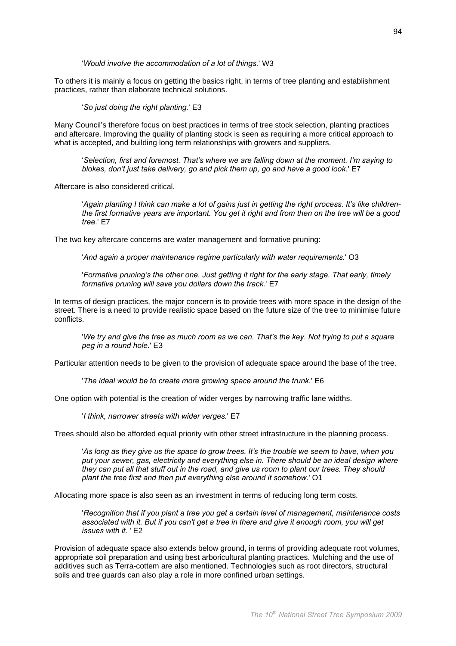'Would involve the accommodation of a lot of things.' W3

To others it is mainly a focus on getting the basics right, in terms of tree planting and establishment practices, rather than elaborate technical solutions.

'So just doing the right planting.' E3

Many Council's therefore focus on best practices in terms of tree stock selection, planting practices and aftercare. Improving the quality of planting stock is seen as requiring a more critical approach to what is accepted, and building long term relationships with growers and suppliers.

'Selection, first and foremost. That's where we are falling down at the moment. I'm saying to blokes, don't just take delivery, go and pick them up, go and have a good look.' E7

Aftercare is also considered critical.

Again planting I think can make a lot of gains just in getting the right process. It's like childrenthe first formative years are important. You get it right and from then on the tree will be a good tree.' E7

The two key aftercare concerns are water management and formative pruning:

'And again a proper maintenance regime particularly with water reguirements.' O3

'Formative pruning's the other one. Just getting it right for the early stage. That early, timely formative pruning will save you dollars down the track.' E7

In terms of design practices, the major concern is to provide trees with more space in the design of the street. There is a need to provide realistic space based on the future size of the tree to minimise future conflicts.

'We try and give the tree as much room as we can. That's the key. Not trying to put a square peg in a round hole.' E3

Particular attention needs to be given to the provision of adequate space around the base of the tree.

'The ideal would be to create more growing space around the trunk.' E6

One option with potential is the creation of wider verges by narrowing traffic lane widths.

'I think, narrower streets with wider verges.' E7

Trees should also be afforded equal priority with other street infrastructure in the planning process.

'As long as they give us the space to grow trees. It's the trouble we seem to have, when you put your sewer, gas, electricity and everything else in. There should be an ideal design where they can put all that stuff out in the road, and give us room to plant our trees. They should plant the tree first and then put everything else around it somehow. O1

Allocating more space is also seen as an investment in terms of reducing long term costs.

'Recognition that if you plant a tree you get a certain level of management, maintenance costs associated with it. But if you can't get a tree in there and give it enough room, you will get issues with it 'F2

Provision of adequate space also extends below ground, in terms of providing adequate root volumes, appropriate soil preparation and using best arboricultural planting practices. Mulching and the use of additives such as Terra-cottem are also mentioned. Technologies such as root directors, structural soils and tree guards can also play a role in more confined urban settings.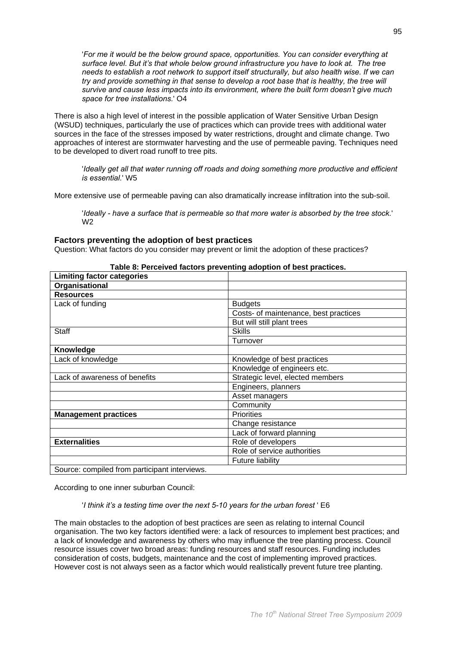'For me it would be the below ground space, opportunities. You can consider everything at surface level. But it's that whole below ground infrastructure you have to look at. The tree needs to establish a root network to support itself structurally, but also health wise. If we can try and provide something in that sense to develop a root base that is healthy, the tree will survive and cause less impacts into its environment, where the built form doesn't give much space for tree installations.' O4

There is also a high level of interest in the possible application of Water Sensitive Urban Design (WSUD) techniques, particularly the use of practices which can provide trees with additional water sources in the face of the stresses imposed by water restrictions, drought and climate change. Two approaches of interest are stormwater harvesting and the use of permeable paving. Techniques need to be developed to divert road runoff to tree pits.

'Ideally get all that water running off roads and doing something more productive and efficient is essential.' W5

More extensive use of permeable paving can also dramatically increase infiltration into the sub-soil.

'Ideally - have a surface that is permeable so that more water is absorbed by the tree stock.' W<sub>2</sub>

#### Factors preventing the adoption of best practices

Question: What factors do you consider may prevent or limit the adoption of these practices?

| <b>Limiting factor categories</b>             |                                       |
|-----------------------------------------------|---------------------------------------|
| Organisational                                |                                       |
| <b>Resources</b>                              |                                       |
| Lack of funding                               | <b>Budgets</b>                        |
|                                               | Costs- of maintenance, best practices |
|                                               | But will still plant trees            |
| <b>Staff</b>                                  | <b>Skills</b>                         |
|                                               | Turnover                              |
| Knowledge                                     |                                       |
| Lack of knowledge                             | Knowledge of best practices           |
|                                               | Knowledge of engineers etc.           |
| Lack of awareness of benefits                 | Strategic level, elected members      |
|                                               | Engineers, planners                   |
|                                               | Asset managers                        |
|                                               | Community                             |
| <b>Management practices</b>                   | <b>Priorities</b>                     |
|                                               | Change resistance                     |
|                                               | Lack of forward planning              |
| <b>Externalities</b>                          | Role of developers                    |
|                                               | Role of service authorities           |
|                                               | Future liability                      |
| Source: compiled from participant interviews. |                                       |

## Table 8: Perceived factors preventing adoption of best practices.

According to one inner suburban Council:

#### 'I think it's a testing time over the next 5-10 years for the urban forest ' E6

The main obstacles to the adoption of best practices are seen as relating to internal Council organisation. The two key factors identified were: a lack of resources to implement best practices; and a lack of knowledge and awareness by others who may influence the tree planting process. Council resource issues cover two broad areas: funding resources and staff resources. Funding includes consideration of costs, budgets, maintenance and the cost of implementing improved practices. However cost is not always seen as a factor which would realistically prevent future tree planting.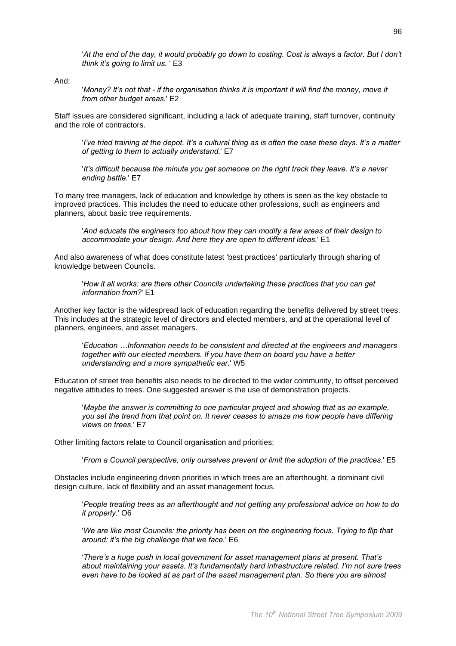'At the end of the day, it would probably go down to costing. Cost is always a factor. But I don't think it's going to limit us. ' E3

And<sup>-</sup>

'Money? It's not that - if the organisation thinks it is important it will find the money, move it from other budget areas.' E2

Staff issues are considered significant, including a lack of adequate training, staff turnover, continuity and the role of contractors.

live tried training at the depot. It's a cultural thing as is often the case these days. It's a matter of getting to them to actually understand.' E7

'It's difficult because the minute you get someone on the right track they leave. It's a never ending battle.' E7

To many tree managers, lack of education and knowledge by others is seen as the key obstacle to improved practices. This includes the need to educate other professions, such as engineers and planners, about basic tree requirements.

'And educate the engineers too about how they can modify a few areas of their design to accommodate your design. And here they are open to different ideas.' E1

And also awareness of what does constitute latest 'best practices' particularly through sharing of knowledge between Councils.

'How it all works: are there other Councils undertaking these practices that you can get information from?' E1

Another key factor is the widespread lack of education regarding the benefits delivered by street trees. This includes at the strategic level of directors and elected members, and at the operational level of planners, engineers, and asset managers.

'Education ...Information needs to be consistent and directed at the engineers and managers together with our elected members. If you have them on board you have a better understanding and a more sympathetic ear.' W5

Education of street tree benefits also needs to be directed to the wider community, to offset perceived negative attitudes to trees. One suggested answer is the use of demonstration projects.

'Maybe the answer is committing to one particular project and showing that as an example. you set the trend from that point on. It never ceases to amaze me how people have differing views on trees.' E7

Other limiting factors relate to Council organisation and priorities:

'From a Council perspective, only ourselves prevent or limit the adoption of the practices.' E5

Obstacles include engineering driven priorities in which trees are an afterthought, a dominant civil design culture, lack of flexibility and an asset management focus.

'People treating trees as an afterthought and not getting any professional advice on how to do it properly.' O6

'We are like most Councils: the priority has been on the engineering focus. Trying to flip that around: it's the big challenge that we face.' E6

There's a huge push in local government for asset management plans at present. That's about maintaining your assets. It's fundamentally hard infrastructure related. I'm not sure trees even have to be looked at as part of the asset management plan. So there you are almost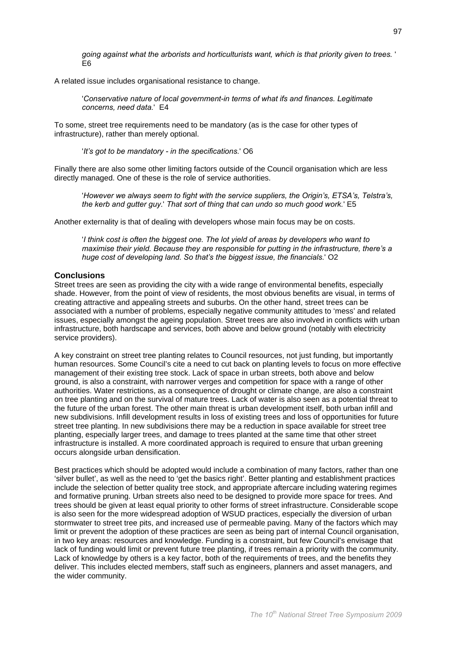going against what the arborists and horticulturists want, which is that priority given to trees. ' E<sub>6</sub>

A related issue includes organisational resistance to change.

'Conservative nature of local government-in terms of what ifs and finances. Legitimate concerns, need data.' E4

To some, street tree requirements need to be mandatory (as is the case for other types of infrastructure), rather than merely optional.

'It's got to be mandatory - in the specifications.' O6

Finally there are also some other limiting factors outside of the Council organisation which are less directly managed. One of these is the role of service authorities.

'However we always seem to fight with the service suppliers, the Origin's, ETSA's, Telstra's, the kerb and gutter guy.' That sort of thing that can undo so much good work.' E5

Another externality is that of dealing with developers whose main focus may be on costs.

I think cost is often the biggest one. The lot vield of areas by developers who want to maximise their yield. Because they are responsible for putting in the infrastructure, there's a huge cost of developing land. So that's the biggest issue, the financials.' O2

#### **Conclusions**

Street trees are seen as providing the city with a wide range of environmental benefits, especially shade. However, from the point of view of residents, the most obvious benefits are visual, in terms of creating attractive and appealing streets and suburbs. On the other hand, street trees can be associated with a number of problems, especially negative community attitudes to 'mess' and related issues, especially amongst the ageing population. Street trees are also involved in conflicts with urban infrastructure, both hardscape and services, both above and below ground (notably with electricity service providers).

A key constraint on street tree planting relates to Council resources, not just funding, but importantly human resources. Some Council's cite a need to cut back on planting levels to focus on more effective management of their existing tree stock. Lack of space in urban streets, both above and below ground, is also a constraint, with narrower verges and competition for space with a range of other authorities. Water restrictions, as a consequence of drought or climate change, are also a constraint on tree planting and on the survival of mature trees. Lack of water is also seen as a potential threat to the future of the urban forest. The other main threat is urban development itself, both urban infill and new subdivisions. Infill development results in loss of existing trees and loss of opportunities for future street tree planting. In new subdivisions there may be a reduction in space available for street tree planting, especially larger trees, and damage to trees planted at the same time that other street infrastructure is installed. A more coordinated approach is required to ensure that urban greening occurs alongside urban densification.

Best practices which should be adopted would include a combination of many factors, rather than one 'silver bullet', as well as the need to 'get the basics right'. Better planting and establishment practices include the selection of better quality tree stock, and appropriate aftercare including watering regimes and formative pruning. Urban streets also need to be designed to provide more space for trees. And trees should be given at least equal priority to other forms of street infrastructure. Considerable scope is also seen for the more widespread adoption of WSUD practices, especially the diversion of urban stormwater to street tree pits, and increased use of permeable paving. Many of the factors which may limit or prevent the adoption of these practices are seen as being part of internal Council organisation, in two key areas: resources and knowledge. Funding is a constraint, but few Council's envisage that lack of funding would limit or prevent future tree planting, if trees remain a priority with the community. Lack of knowledge by others is a key factor, both of the requirements of trees, and the benefits they deliver. This includes elected members, staff such as engineers, planners and asset managers, and the wider community.